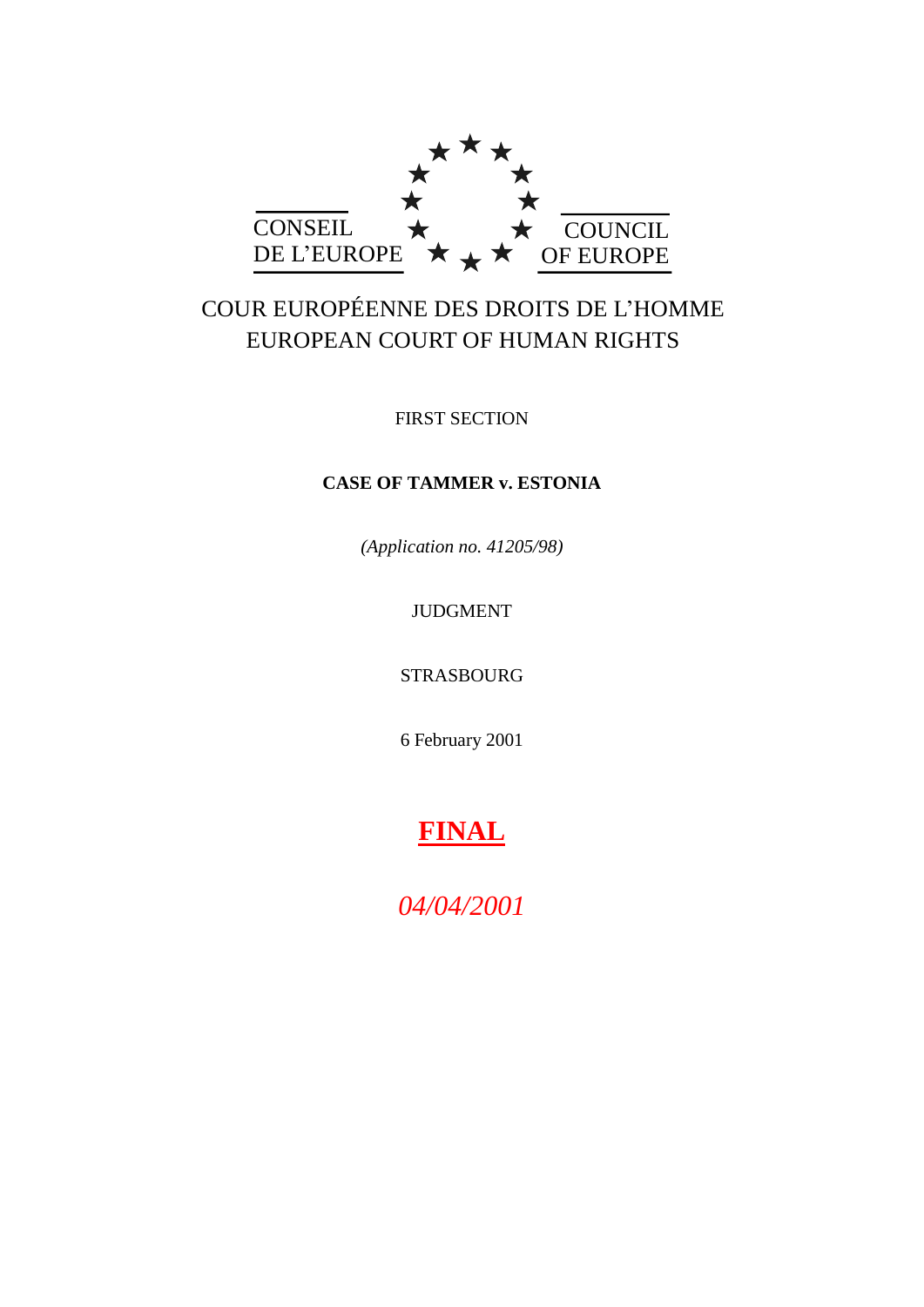

# COUR EUROPÉENNE DES DROITS DE L'HOMME EUROPEAN COURT OF HUMAN RIGHTS

FIRST SECTION

# **CASE OF TAMMER v. ESTONIA**

*(Application no. 41205/98)*

JUDGMENT

STRASBOURG

6 February 2001

# **FINAL**

*04/04/2001*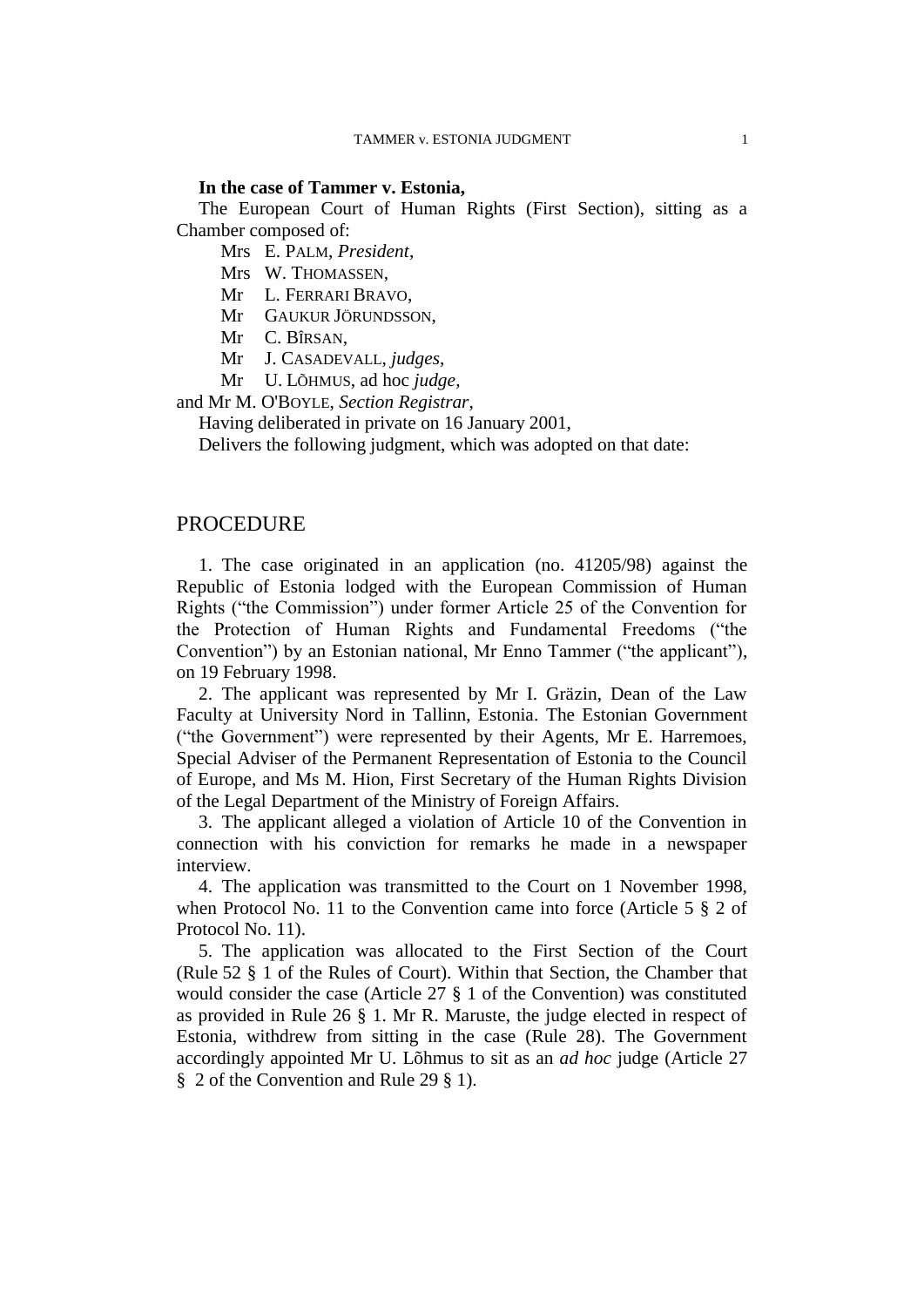#### **In the case of Tammer v. Estonia,**

The European Court of Human Rights (First Section), sitting as a Chamber composed of:

Mrs E. PALM, *President*,

Mrs W. THOMASSEN,

Mr L. FERRARI BRAVO,

Mr GAUKUR JÖRUNDSSON,

Mr C. BÎRSAN,

Mr J. CASADEVALL, *judges*,

Mr U. LÕHMUS, ad hoc *judge*,

and Mr M. O'BOYLE, *Section Registrar*,

Having deliberated in private on 16 January 2001,

Delivers the following judgment, which was adopted on that date:

# PROCEDURE

1. The case originated in an application (no. 41205/98) against the Republic of Estonia lodged with the European Commission of Human Rights ("the Commission") under former Article 25 of the Convention for the Protection of Human Rights and Fundamental Freedoms ("the Convention") by an Estonian national, Mr Enno Tammer ("the applicant"), on 19 February 1998.

2. The applicant was represented by Mr I. Gräzin, Dean of the Law Faculty at University Nord in Tallinn, Estonia. The Estonian Government ("the Government") were represented by their Agents, Mr E. Harremoes, Special Adviser of the Permanent Representation of Estonia to the Council of Europe, and Ms M. Hion, First Secretary of the Human Rights Division of the Legal Department of the Ministry of Foreign Affairs.

3. The applicant alleged a violation of Article 10 of the Convention in connection with his conviction for remarks he made in a newspaper interview.

4. The application was transmitted to the Court on 1 November 1998, when Protocol No. 11 to the Convention came into force (Article 5  $\S$  2 of Protocol No. 11).

5. The application was allocated to the First Section of the Court (Rule 52 § 1 of the Rules of Court). Within that Section, the Chamber that would consider the case (Article 27 § 1 of the Convention) was constituted as provided in Rule 26 § 1. Mr R. Maruste, the judge elected in respect of Estonia, withdrew from sitting in the case (Rule 28). The Government accordingly appointed Mr U. Lõhmus to sit as an *ad hoc* judge (Article 27 § 2 of the Convention and Rule 29 § 1).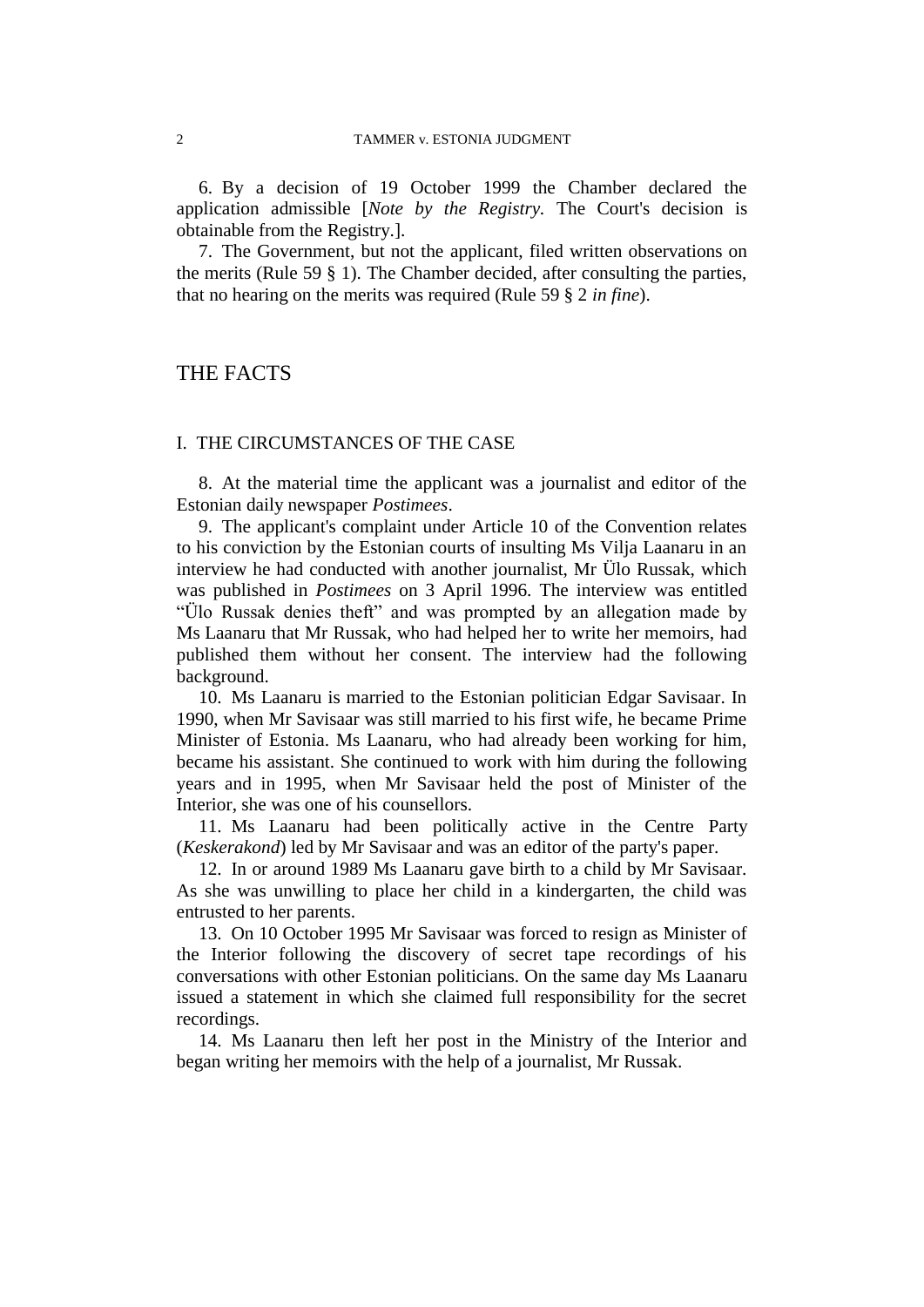6. By a decision of 19 October 1999 the Chamber declared the application admissible [*Note by the Registry.* The Court's decision is obtainable from the Registry.].

7. The Government, but not the applicant, filed written observations on the merits (Rule 59 § 1). The Chamber decided, after consulting the parties, that no hearing on the merits was required (Rule 59 § 2 *in fine*).

# THE FACTS

## I. THE CIRCUMSTANCES OF THE CASE

8. At the material time the applicant was a journalist and editor of the Estonian daily newspaper *Postimees*.

9. The applicant's complaint under Article 10 of the Convention relates to his conviction by the Estonian courts of insulting Ms Vilja Laanaru in an interview he had conducted with another journalist, Mr Ülo Russak, which was published in *Postimees* on 3 April 1996. The interview was entitled "Ülo Russak denies theft" and was prompted by an allegation made by Ms Laanaru that Mr Russak, who had helped her to write her memoirs, had published them without her consent. The interview had the following background.

10. Ms Laanaru is married to the Estonian politician Edgar Savisaar. In 1990, when Mr Savisaar was still married to his first wife, he became Prime Minister of Estonia. Ms Laanaru, who had already been working for him, became his assistant. She continued to work with him during the following years and in 1995, when Mr Savisaar held the post of Minister of the Interior, she was one of his counsellors.

11. Ms Laanaru had been politically active in the Centre Party (*Keskerakond*) led by Mr Savisaar and was an editor of the party's paper.

12. In or around 1989 Ms Laanaru gave birth to a child by Mr Savisaar. As she was unwilling to place her child in a kindergarten, the child was entrusted to her parents.

13. On 10 October 1995 Mr Savisaar was forced to resign as Minister of the Interior following the discovery of secret tape recordings of his conversations with other Estonian politicians. On the same day Ms Laanaru issued a statement in which she claimed full responsibility for the secret recordings.

14. Ms Laanaru then left her post in the Ministry of the Interior and began writing her memoirs with the help of a journalist, Mr Russak.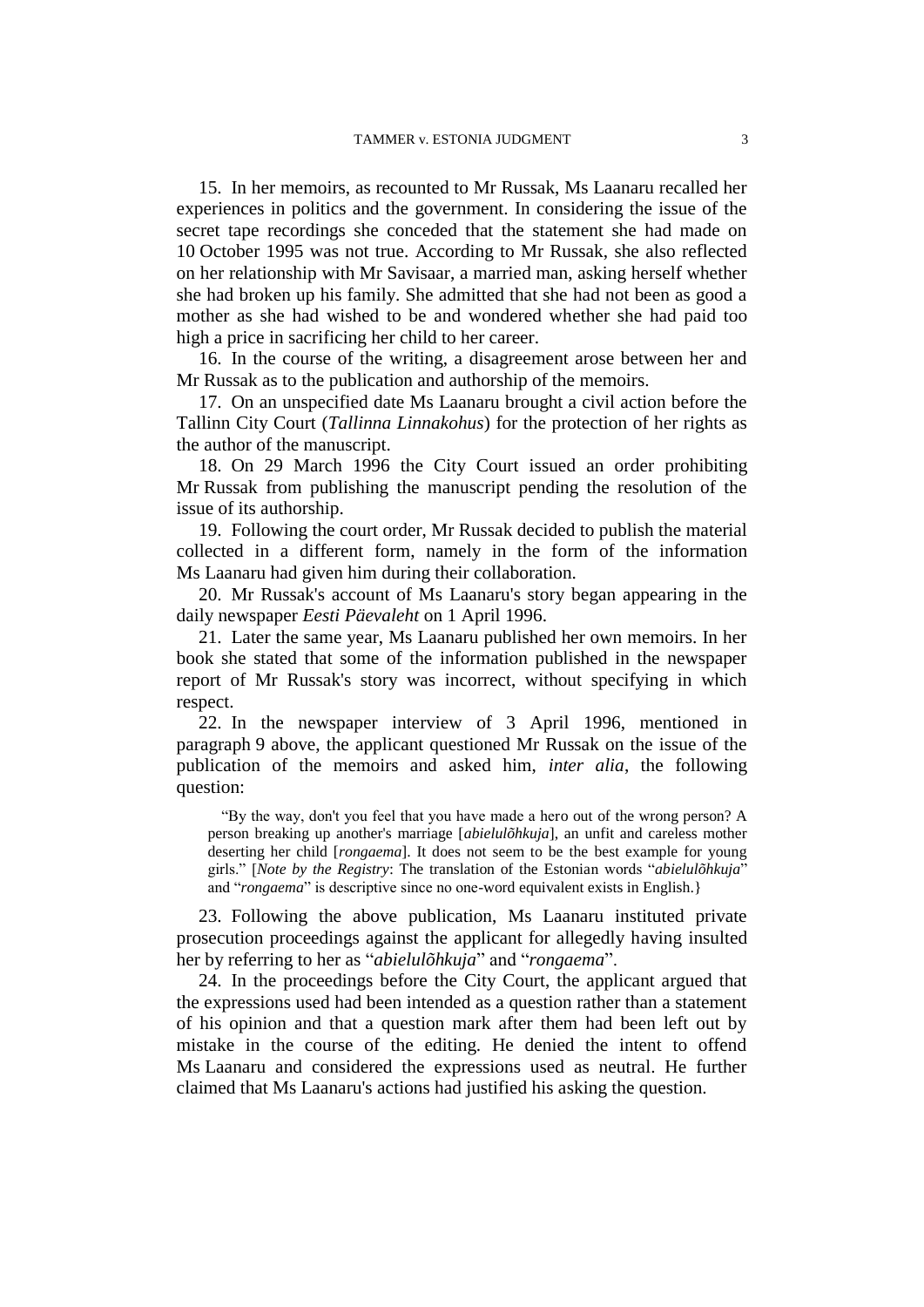15. In her memoirs, as recounted to Mr Russak, Ms Laanaru recalled her experiences in politics and the government. In considering the issue of the secret tape recordings she conceded that the statement she had made on 10 October 1995 was not true. According to Mr Russak, she also reflected on her relationship with Mr Savisaar, a married man, asking herself whether she had broken up his family. She admitted that she had not been as good a mother as she had wished to be and wondered whether she had paid too high a price in sacrificing her child to her career.

16. In the course of the writing, a disagreement arose between her and Mr Russak as to the publication and authorship of the memoirs.

17. On an unspecified date Ms Laanaru brought a civil action before the Tallinn City Court (*Tallinna Linnakohus*) for the protection of her rights as the author of the manuscript.

18. On 29 March 1996 the City Court issued an order prohibiting Mr Russak from publishing the manuscript pending the resolution of the issue of its authorship.

19. Following the court order, Mr Russak decided to publish the material collected in a different form, namely in the form of the information Ms Laanaru had given him during their collaboration.

20. Mr Russak's account of Ms Laanaru's story began appearing in the daily newspaper *Eesti Päevaleht* on 1 April 1996.

21. Later the same year, Ms Laanaru published her own memoirs. In her book she stated that some of the information published in the newspaper report of Mr Russak's story was incorrect, without specifying in which respect.

22. In the newspaper interview of 3 April 1996, mentioned in paragraph 9 above, the applicant questioned Mr Russak on the issue of the publication of the memoirs and asked him, *inter alia*, the following question:

"By the way, don't you feel that you have made a hero out of the wrong person? A person breaking up another's marriage [*abielulõhkuja*], an unfit and careless mother deserting her child [*rongaema*]. It does not seem to be the best example for young girls." [*Note by the Registry*: The translation of the Estonian words "*abielulõhkuja*" and "*rongaema*" is descriptive since no one-word equivalent exists in English.}

23. Following the above publication, Ms Laanaru instituted private prosecution proceedings against the applicant for allegedly having insulted her by referring to her as "*abielulõhkuja*" and "*rongaema*".

24. In the proceedings before the City Court, the applicant argued that the expressions used had been intended as a question rather than a statement of his opinion and that a question mark after them had been left out by mistake in the course of the editing. He denied the intent to offend Ms Laanaru and considered the expressions used as neutral. He further claimed that Ms Laanaru's actions had justified his asking the question.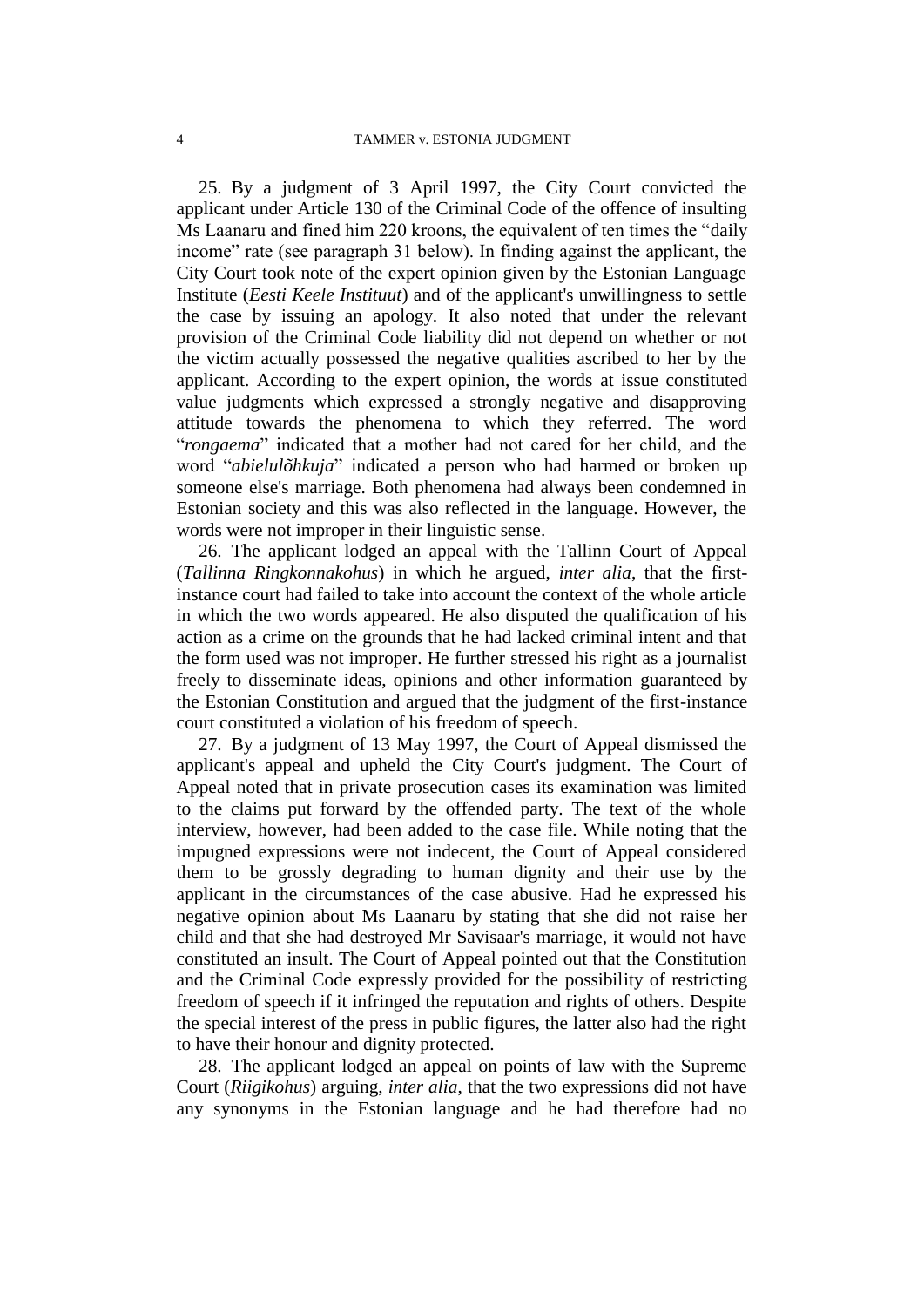25. By a judgment of 3 April 1997, the City Court convicted the applicant under Article 130 of the Criminal Code of the offence of insulting Ms Laanaru and fined him 220 kroons, the equivalent of ten times the "daily income" rate (see paragraph 31 below). In finding against the applicant, the City Court took note of the expert opinion given by the Estonian Language Institute (*Eesti Keele Instituut*) and of the applicant's unwillingness to settle the case by issuing an apology. It also noted that under the relevant provision of the Criminal Code liability did not depend on whether or not the victim actually possessed the negative qualities ascribed to her by the applicant. According to the expert opinion, the words at issue constituted value judgments which expressed a strongly negative and disapproving attitude towards the phenomena to which they referred. The word "*rongaema*" indicated that a mother had not cared for her child, and the word "*abielulõhkuja*" indicated a person who had harmed or broken up someone else's marriage. Both phenomena had always been condemned in Estonian society and this was also reflected in the language. However, the words were not improper in their linguistic sense.

26. The applicant lodged an appeal with the Tallinn Court of Appeal (*Tallinna Ringkonnakohus*) in which he argued, *inter alia*, that the firstinstance court had failed to take into account the context of the whole article in which the two words appeared. He also disputed the qualification of his action as a crime on the grounds that he had lacked criminal intent and that the form used was not improper. He further stressed his right as a journalist freely to disseminate ideas, opinions and other information guaranteed by the Estonian Constitution and argued that the judgment of the first-instance court constituted a violation of his freedom of speech.

27. By a judgment of 13 May 1997, the Court of Appeal dismissed the applicant's appeal and upheld the City Court's judgment. The Court of Appeal noted that in private prosecution cases its examination was limited to the claims put forward by the offended party. The text of the whole interview, however, had been added to the case file. While noting that the impugned expressions were not indecent, the Court of Appeal considered them to be grossly degrading to human dignity and their use by the applicant in the circumstances of the case abusive. Had he expressed his negative opinion about Ms Laanaru by stating that she did not raise her child and that she had destroyed Mr Savisaar's marriage, it would not have constituted an insult. The Court of Appeal pointed out that the Constitution and the Criminal Code expressly provided for the possibility of restricting freedom of speech if it infringed the reputation and rights of others. Despite the special interest of the press in public figures, the latter also had the right to have their honour and dignity protected.

28. The applicant lodged an appeal on points of law with the Supreme Court (*Riigikohus*) arguing, *inter alia*, that the two expressions did not have any synonyms in the Estonian language and he had therefore had no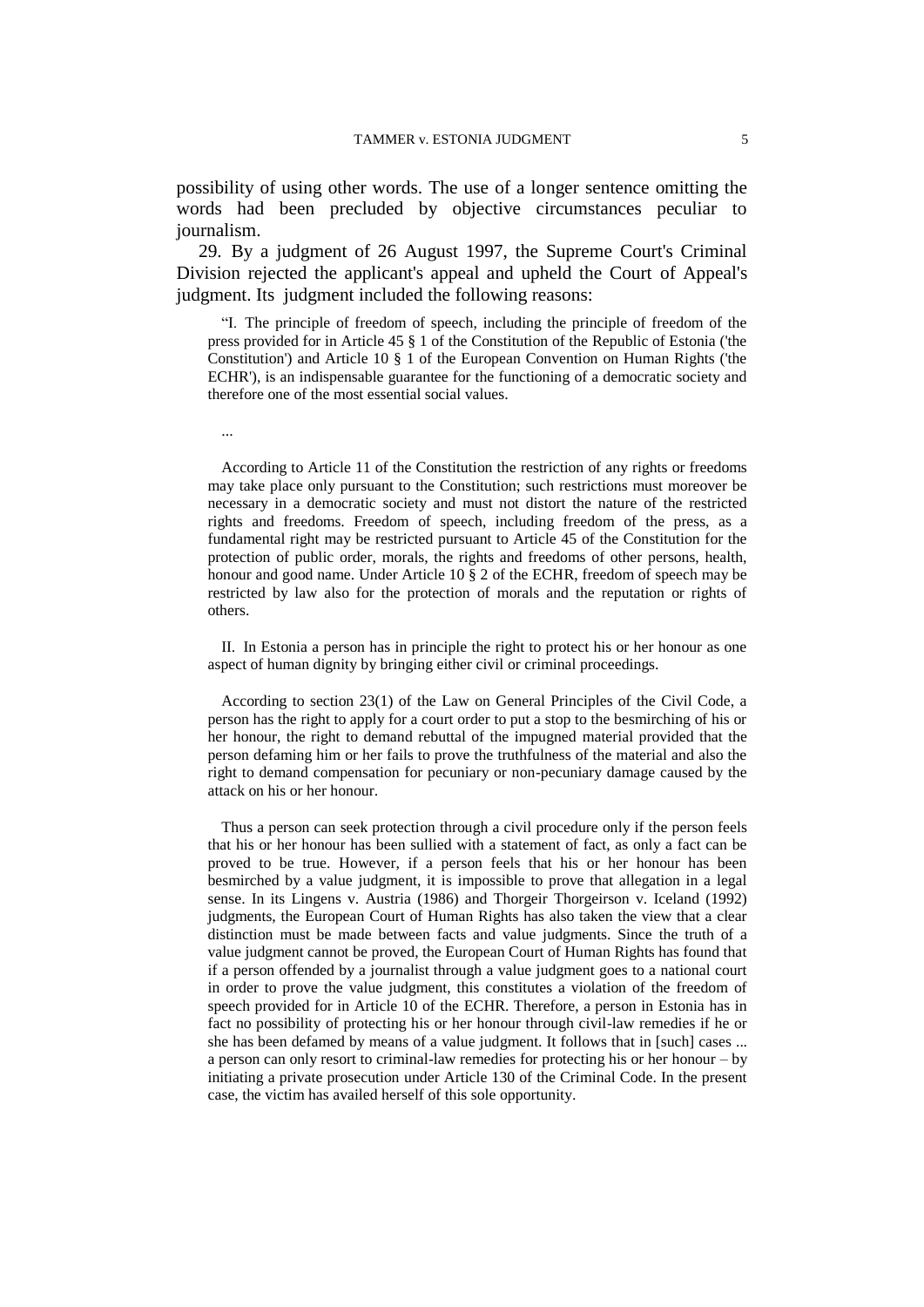possibility of using other words. The use of a longer sentence omitting the words had been precluded by objective circumstances peculiar to journalism.

29. By a judgment of 26 August 1997, the Supreme Court's Criminal Division rejected the applicant's appeal and upheld the Court of Appeal's judgment. Its judgment included the following reasons:

"I. The principle of freedom of speech, including the principle of freedom of the press provided for in Article 45 § 1 of the Constitution of the Republic of Estonia ('the Constitution') and Article 10 § 1 of the European Convention on Human Rights ('the ECHR'), is an indispensable guarantee for the functioning of a democratic society and therefore one of the most essential social values.

...

According to Article 11 of the Constitution the restriction of any rights or freedoms may take place only pursuant to the Constitution; such restrictions must moreover be necessary in a democratic society and must not distort the nature of the restricted rights and freedoms. Freedom of speech, including freedom of the press, as a fundamental right may be restricted pursuant to Article 45 of the Constitution for the protection of public order, morals, the rights and freedoms of other persons, health, honour and good name. Under Article 10 § 2 of the ECHR, freedom of speech may be restricted by law also for the protection of morals and the reputation or rights of others.

II. In Estonia a person has in principle the right to protect his or her honour as one aspect of human dignity by bringing either civil or criminal proceedings.

According to section 23(1) of the Law on General Principles of the Civil Code, a person has the right to apply for a court order to put a stop to the besmirching of his or her honour, the right to demand rebuttal of the impugned material provided that the person defaming him or her fails to prove the truthfulness of the material and also the right to demand compensation for pecuniary or non-pecuniary damage caused by the attack on his or her honour.

Thus a person can seek protection through a civil procedure only if the person feels that his or her honour has been sullied with a statement of fact, as only a fact can be proved to be true. However, if a person feels that his or her honour has been besmirched by a value judgment, it is impossible to prove that allegation in a legal sense. In its Lingens v. Austria (1986) and Thorgeir Thorgeirson v. Iceland (1992) judgments, the European Court of Human Rights has also taken the view that a clear distinction must be made between facts and value judgments. Since the truth of a value judgment cannot be proved, the European Court of Human Rights has found that if a person offended by a journalist through a value judgment goes to a national court in order to prove the value judgment, this constitutes a violation of the freedom of speech provided for in Article 10 of the ECHR. Therefore, a person in Estonia has in fact no possibility of protecting his or her honour through civil-law remedies if he or she has been defamed by means of a value judgment. It follows that in [such] cases ... a person can only resort to criminal-law remedies for protecting his or her honour – by initiating a private prosecution under Article 130 of the Criminal Code. In the present case, the victim has availed herself of this sole opportunity.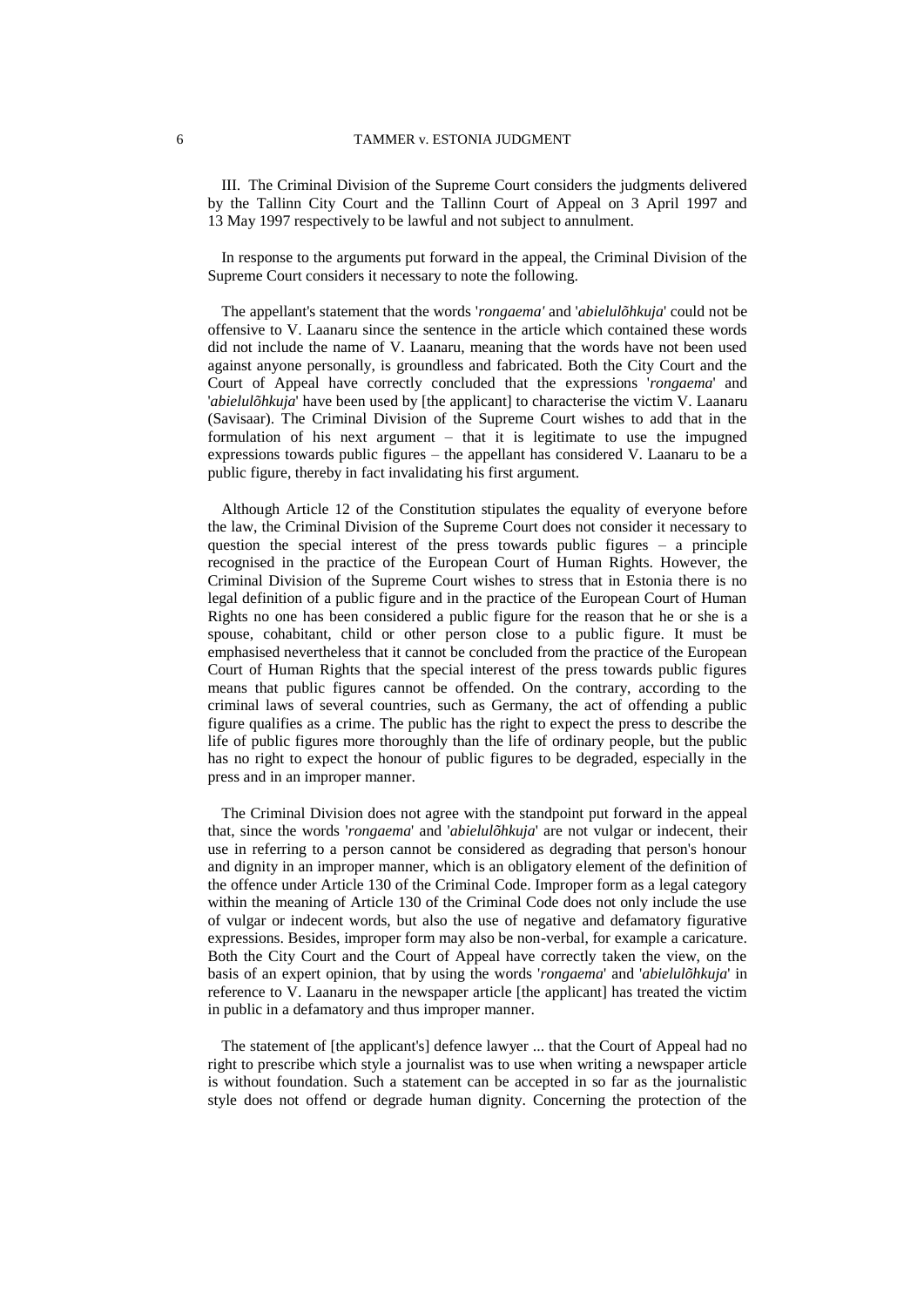III. The Criminal Division of the Supreme Court considers the judgments delivered by the Tallinn City Court and the Tallinn Court of Appeal on 3 April 1997 and 13 May 1997 respectively to be lawful and not subject to annulment.

In response to the arguments put forward in the appeal, the Criminal Division of the Supreme Court considers it necessary to note the following.

The appellant's statement that the words '*rongaema'* and '*abielulõhkuja*' could not be offensive to V. Laanaru since the sentence in the article which contained these words did not include the name of V. Laanaru, meaning that the words have not been used against anyone personally, is groundless and fabricated. Both the City Court and the Court of Appeal have correctly concluded that the expressions '*rongaema*' and '*abielulõhkuja*' have been used by [the applicant] to characterise the victim V. Laanaru (Savisaar). The Criminal Division of the Supreme Court wishes to add that in the formulation of his next argument – that it is legitimate to use the impugned expressions towards public figures – the appellant has considered V. Laanaru to be a public figure, thereby in fact invalidating his first argument.

Although Article 12 of the Constitution stipulates the equality of everyone before the law, the Criminal Division of the Supreme Court does not consider it necessary to question the special interest of the press towards public figures  $-$  a principle recognised in the practice of the European Court of Human Rights. However, the Criminal Division of the Supreme Court wishes to stress that in Estonia there is no legal definition of a public figure and in the practice of the European Court of Human Rights no one has been considered a public figure for the reason that he or she is a spouse, cohabitant, child or other person close to a public figure. It must be emphasised nevertheless that it cannot be concluded from the practice of the European Court of Human Rights that the special interest of the press towards public figures means that public figures cannot be offended. On the contrary, according to the criminal laws of several countries, such as Germany, the act of offending a public figure qualifies as a crime. The public has the right to expect the press to describe the life of public figures more thoroughly than the life of ordinary people, but the public has no right to expect the honour of public figures to be degraded, especially in the press and in an improper manner.

The Criminal Division does not agree with the standpoint put forward in the appeal that, since the words '*rongaema*' and '*abielulõhkuja*' are not vulgar or indecent, their use in referring to a person cannot be considered as degrading that person's honour and dignity in an improper manner, which is an obligatory element of the definition of the offence under Article 130 of the Criminal Code. Improper form as a legal category within the meaning of Article 130 of the Criminal Code does not only include the use of vulgar or indecent words, but also the use of negative and defamatory figurative expressions. Besides, improper form may also be non-verbal, for example a caricature. Both the City Court and the Court of Appeal have correctly taken the view, on the basis of an expert opinion, that by using the words '*rongaema*' and '*abielulõhkuja*' in reference to V. Laanaru in the newspaper article [the applicant] has treated the victim in public in a defamatory and thus improper manner.

The statement of [the applicant's] defence lawyer ... that the Court of Appeal had no right to prescribe which style a journalist was to use when writing a newspaper article is without foundation. Such a statement can be accepted in so far as the journalistic style does not offend or degrade human dignity. Concerning the protection of the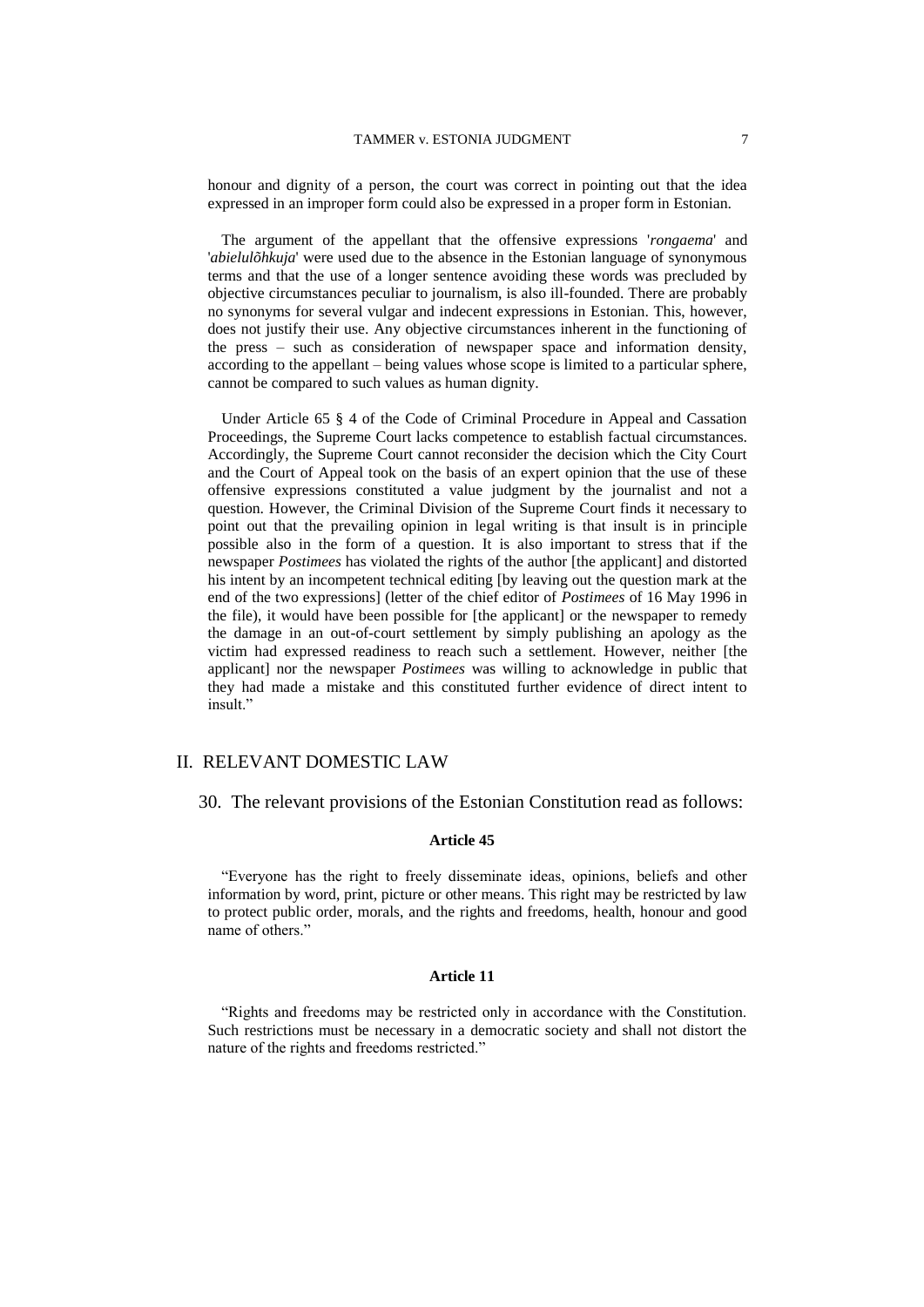honour and dignity of a person, the court was correct in pointing out that the idea expressed in an improper form could also be expressed in a proper form in Estonian.

The argument of the appellant that the offensive expressions '*rongaema*' and '*abielulõhkuja*' were used due to the absence in the Estonian language of synonymous terms and that the use of a longer sentence avoiding these words was precluded by objective circumstances peculiar to journalism, is also ill-founded. There are probably no synonyms for several vulgar and indecent expressions in Estonian. This, however, does not justify their use. Any objective circumstances inherent in the functioning of the press – such as consideration of newspaper space and information density, according to the appellant – being values whose scope is limited to a particular sphere, cannot be compared to such values as human dignity.

Under Article 65 § 4 of the Code of Criminal Procedure in Appeal and Cassation Proceedings, the Supreme Court lacks competence to establish factual circumstances. Accordingly, the Supreme Court cannot reconsider the decision which the City Court and the Court of Appeal took on the basis of an expert opinion that the use of these offensive expressions constituted a value judgment by the journalist and not a question. However, the Criminal Division of the Supreme Court finds it necessary to point out that the prevailing opinion in legal writing is that insult is in principle possible also in the form of a question. It is also important to stress that if the newspaper *Postimees* has violated the rights of the author [the applicant] and distorted his intent by an incompetent technical editing [by leaving out the question mark at the end of the two expressions] (letter of the chief editor of *Postimees* of 16 May 1996 in the file), it would have been possible for [the applicant] or the newspaper to remedy the damage in an out-of-court settlement by simply publishing an apology as the victim had expressed readiness to reach such a settlement. However, neither [the applicant] nor the newspaper *Postimees* was willing to acknowledge in public that they had made a mistake and this constituted further evidence of direct intent to insult."

## II. RELEVANT DOMESTIC LAW

#### 30. The relevant provisions of the Estonian Constitution read as follows:

#### **Article 45**

"Everyone has the right to freely disseminate ideas, opinions, beliefs and other information by word, print, picture or other means. This right may be restricted by law to protect public order, morals, and the rights and freedoms, health, honour and good name of others."

#### **Article 11**

"Rights and freedoms may be restricted only in accordance with the Constitution. Such restrictions must be necessary in a democratic society and shall not distort the nature of the rights and freedoms restricted."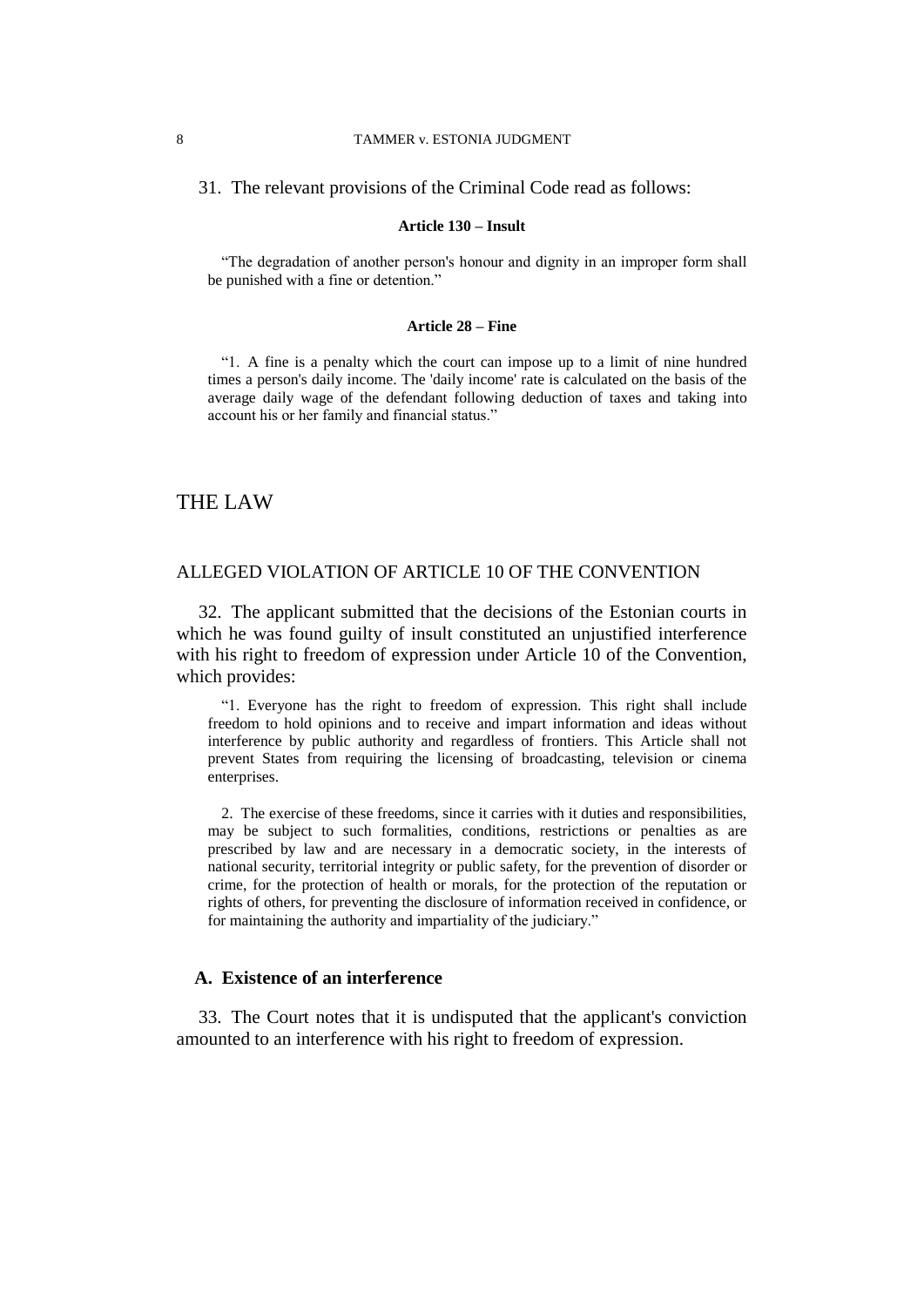#### 8 TAMMER v. ESTONIA JUDGMENT

#### 31. The relevant provisions of the Criminal Code read as follows:

#### **Article 130 – Insult**

"The degradation of another person's honour and dignity in an improper form shall be punished with a fine or detention."

#### **Article 28 – Fine**

"1. A fine is a penalty which the court can impose up to a limit of nine hundred times a person's daily income. The 'daily income' rate is calculated on the basis of the average daily wage of the defendant following deduction of taxes and taking into account his or her family and financial status."

# THE LAW

# ALLEGED VIOLATION OF ARTICLE 10 OF THE CONVENTION

32. The applicant submitted that the decisions of the Estonian courts in which he was found guilty of insult constituted an unjustified interference with his right to freedom of expression under Article 10 of the Convention, which provides:

"1. Everyone has the right to freedom of expression. This right shall include freedom to hold opinions and to receive and impart information and ideas without interference by public authority and regardless of frontiers. This Article shall not prevent States from requiring the licensing of broadcasting, television or cinema enterprises.

2. The exercise of these freedoms, since it carries with it duties and responsibilities, may be subject to such formalities, conditions, restrictions or penalties as are prescribed by law and are necessary in a democratic society, in the interests of national security, territorial integrity or public safety, for the prevention of disorder or crime, for the protection of health or morals, for the protection of the reputation or rights of others, for preventing the disclosure of information received in confidence, or for maintaining the authority and impartiality of the judiciary."

# **A. Existence of an interference**

33. The Court notes that it is undisputed that the applicant's conviction amounted to an interference with his right to freedom of expression.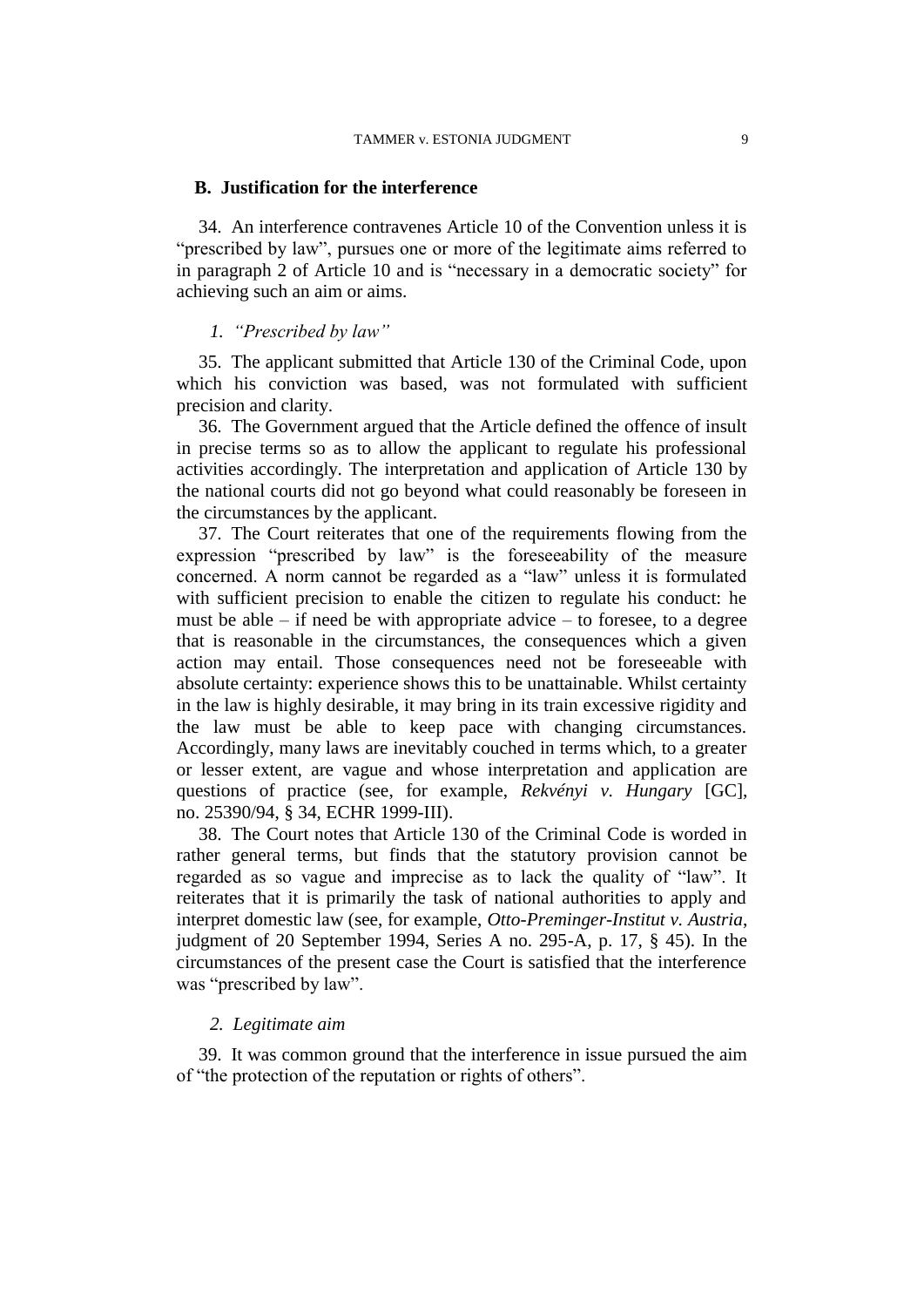## **B. Justification for the interference**

34. An interference contravenes Article 10 of the Convention unless it is "prescribed by law", pursues one or more of the legitimate aims referred to in paragraph 2 of Article 10 and is "necessary in a democratic society" for achieving such an aim or aims.

# *1. "Prescribed by law"*

35. The applicant submitted that Article 130 of the Criminal Code, upon which his conviction was based, was not formulated with sufficient precision and clarity.

36. The Government argued that the Article defined the offence of insult in precise terms so as to allow the applicant to regulate his professional activities accordingly. The interpretation and application of Article 130 by the national courts did not go beyond what could reasonably be foreseen in the circumstances by the applicant.

37. The Court reiterates that one of the requirements flowing from the expression "prescribed by law" is the foreseeability of the measure concerned. A norm cannot be regarded as a "law" unless it is formulated with sufficient precision to enable the citizen to regulate his conduct: he must be able  $-$  if need be with appropriate advice  $-$  to foresee, to a degree that is reasonable in the circumstances, the consequences which a given action may entail. Those consequences need not be foreseeable with absolute certainty: experience shows this to be unattainable. Whilst certainty in the law is highly desirable, it may bring in its train excessive rigidity and the law must be able to keep pace with changing circumstances. Accordingly, many laws are inevitably couched in terms which, to a greater or lesser extent, are vague and whose interpretation and application are questions of practice (see, for example, *Rekvényi v. Hungary* [GC], no. 25390/94, § 34, ECHR 1999-III).

38. The Court notes that Article 130 of the Criminal Code is worded in rather general terms, but finds that the statutory provision cannot be regarded as so vague and imprecise as to lack the quality of "law". It reiterates that it is primarily the task of national authorities to apply and interpret domestic law (see, for example, *Otto-Preminger-Institut v. Austria*, judgment of 20 September 1994, Series A no. 295-A, p. 17, § 45). In the circumstances of the present case the Court is satisfied that the interference was "prescribed by law".

## *2. Legitimate aim*

39. It was common ground that the interference in issue pursued the aim of "the protection of the reputation or rights of others".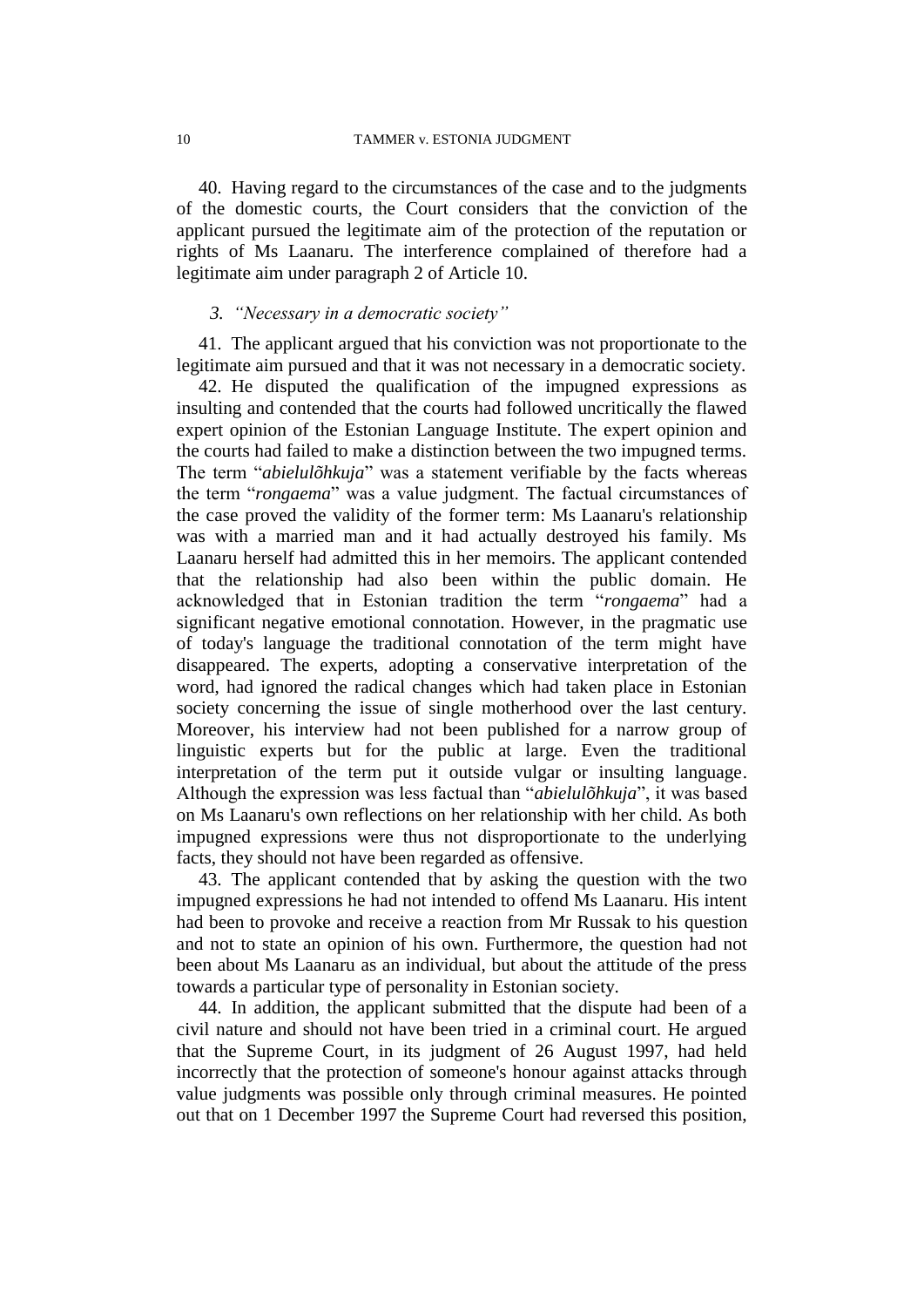40. Having regard to the circumstances of the case and to the judgments of the domestic courts, the Court considers that the conviction of the applicant pursued the legitimate aim of the protection of the reputation or rights of Ms Laanaru. The interference complained of therefore had a legitimate aim under paragraph 2 of Article 10.

## *3. "Necessary in a democratic society"*

41. The applicant argued that his conviction was not proportionate to the legitimate aim pursued and that it was not necessary in a democratic society.

42. He disputed the qualification of the impugned expressions as insulting and contended that the courts had followed uncritically the flawed expert opinion of the Estonian Language Institute. The expert opinion and the courts had failed to make a distinction between the two impugned terms. The term "*abielulõhkuja*" was a statement verifiable by the facts whereas the term "*rongaema*" was a value judgment. The factual circumstances of the case proved the validity of the former term: Ms Laanaru's relationship was with a married man and it had actually destroyed his family. Ms Laanaru herself had admitted this in her memoirs. The applicant contended that the relationship had also been within the public domain. He acknowledged that in Estonian tradition the term "*rongaema*" had a significant negative emotional connotation. However, in the pragmatic use of today's language the traditional connotation of the term might have disappeared. The experts, adopting a conservative interpretation of the word, had ignored the radical changes which had taken place in Estonian society concerning the issue of single motherhood over the last century. Moreover, his interview had not been published for a narrow group of linguistic experts but for the public at large. Even the traditional interpretation of the term put it outside vulgar or insulting language. Although the expression was less factual than "*abielulõhkuja*", it was based on Ms Laanaru's own reflections on her relationship with her child. As both impugned expressions were thus not disproportionate to the underlying facts, they should not have been regarded as offensive.

43. The applicant contended that by asking the question with the two impugned expressions he had not intended to offend Ms Laanaru. His intent had been to provoke and receive a reaction from Mr Russak to his question and not to state an opinion of his own. Furthermore, the question had not been about Ms Laanaru as an individual, but about the attitude of the press towards a particular type of personality in Estonian society.

44. In addition, the applicant submitted that the dispute had been of a civil nature and should not have been tried in a criminal court. He argued that the Supreme Court, in its judgment of 26 August 1997, had held incorrectly that the protection of someone's honour against attacks through value judgments was possible only through criminal measures. He pointed out that on 1 December 1997 the Supreme Court had reversed this position,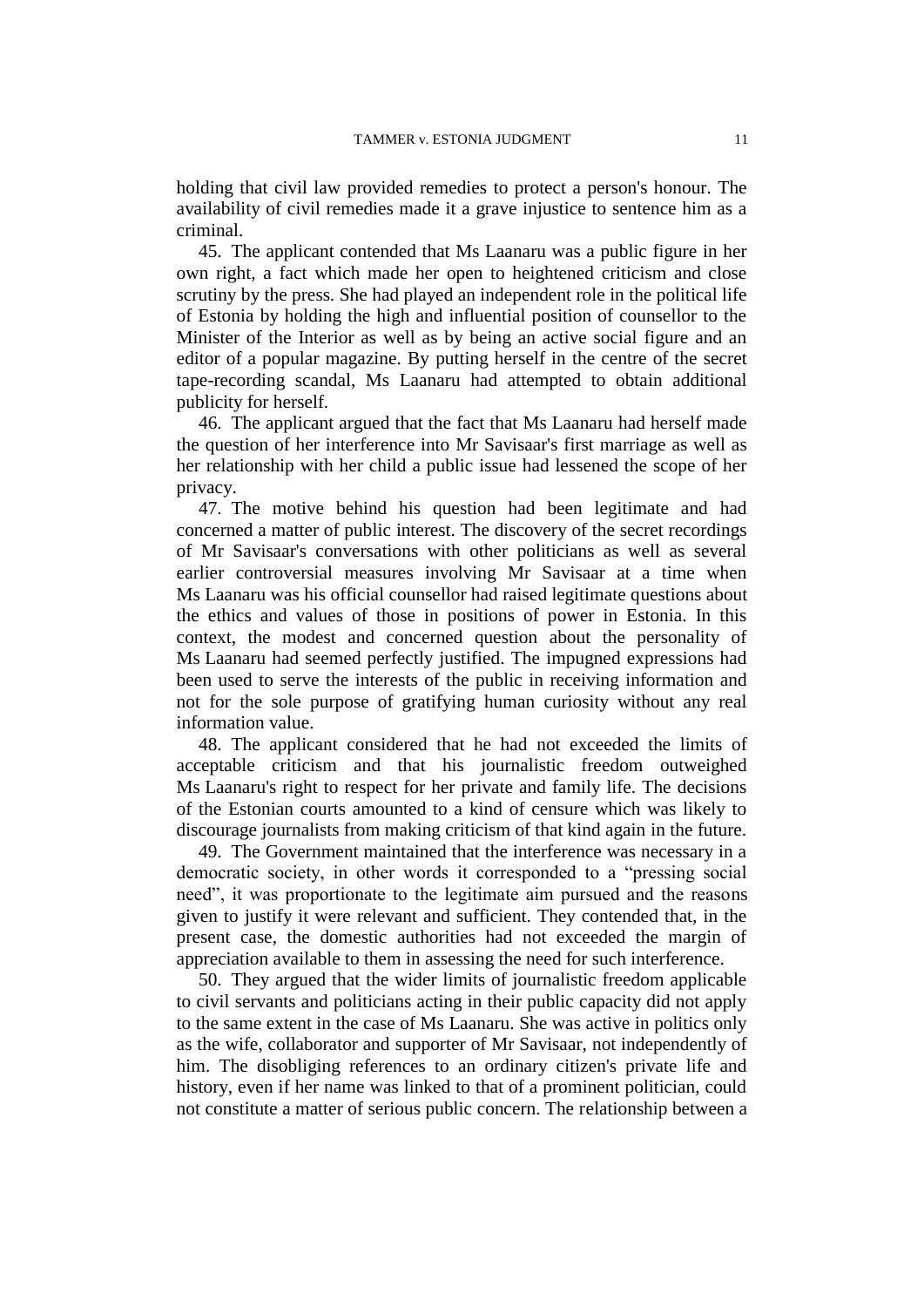holding that civil law provided remedies to protect a person's honour. The availability of civil remedies made it a grave injustice to sentence him as a criminal.

45. The applicant contended that Ms Laanaru was a public figure in her own right, a fact which made her open to heightened criticism and close scrutiny by the press. She had played an independent role in the political life of Estonia by holding the high and influential position of counsellor to the Minister of the Interior as well as by being an active social figure and an editor of a popular magazine. By putting herself in the centre of the secret tape-recording scandal, Ms Laanaru had attempted to obtain additional publicity for herself.

46. The applicant argued that the fact that Ms Laanaru had herself made the question of her interference into Mr Savisaar's first marriage as well as her relationship with her child a public issue had lessened the scope of her privacy.

47. The motive behind his question had been legitimate and had concerned a matter of public interest. The discovery of the secret recordings of Mr Savisaar's conversations with other politicians as well as several earlier controversial measures involving Mr Savisaar at a time when Ms Laanaru was his official counsellor had raised legitimate questions about the ethics and values of those in positions of power in Estonia. In this context, the modest and concerned question about the personality of Ms Laanaru had seemed perfectly justified. The impugned expressions had been used to serve the interests of the public in receiving information and not for the sole purpose of gratifying human curiosity without any real information value.

48. The applicant considered that he had not exceeded the limits of acceptable criticism and that his journalistic freedom outweighed Ms Laanaru's right to respect for her private and family life. The decisions of the Estonian courts amounted to a kind of censure which was likely to discourage journalists from making criticism of that kind again in the future.

49. The Government maintained that the interference was necessary in a democratic society, in other words it corresponded to a "pressing social need", it was proportionate to the legitimate aim pursued and the reasons given to justify it were relevant and sufficient. They contended that, in the present case, the domestic authorities had not exceeded the margin of appreciation available to them in assessing the need for such interference.

50. They argued that the wider limits of journalistic freedom applicable to civil servants and politicians acting in their public capacity did not apply to the same extent in the case of Ms Laanaru. She was active in politics only as the wife, collaborator and supporter of Mr Savisaar, not independently of him. The disobliging references to an ordinary citizen's private life and history, even if her name was linked to that of a prominent politician, could not constitute a matter of serious public concern. The relationship between a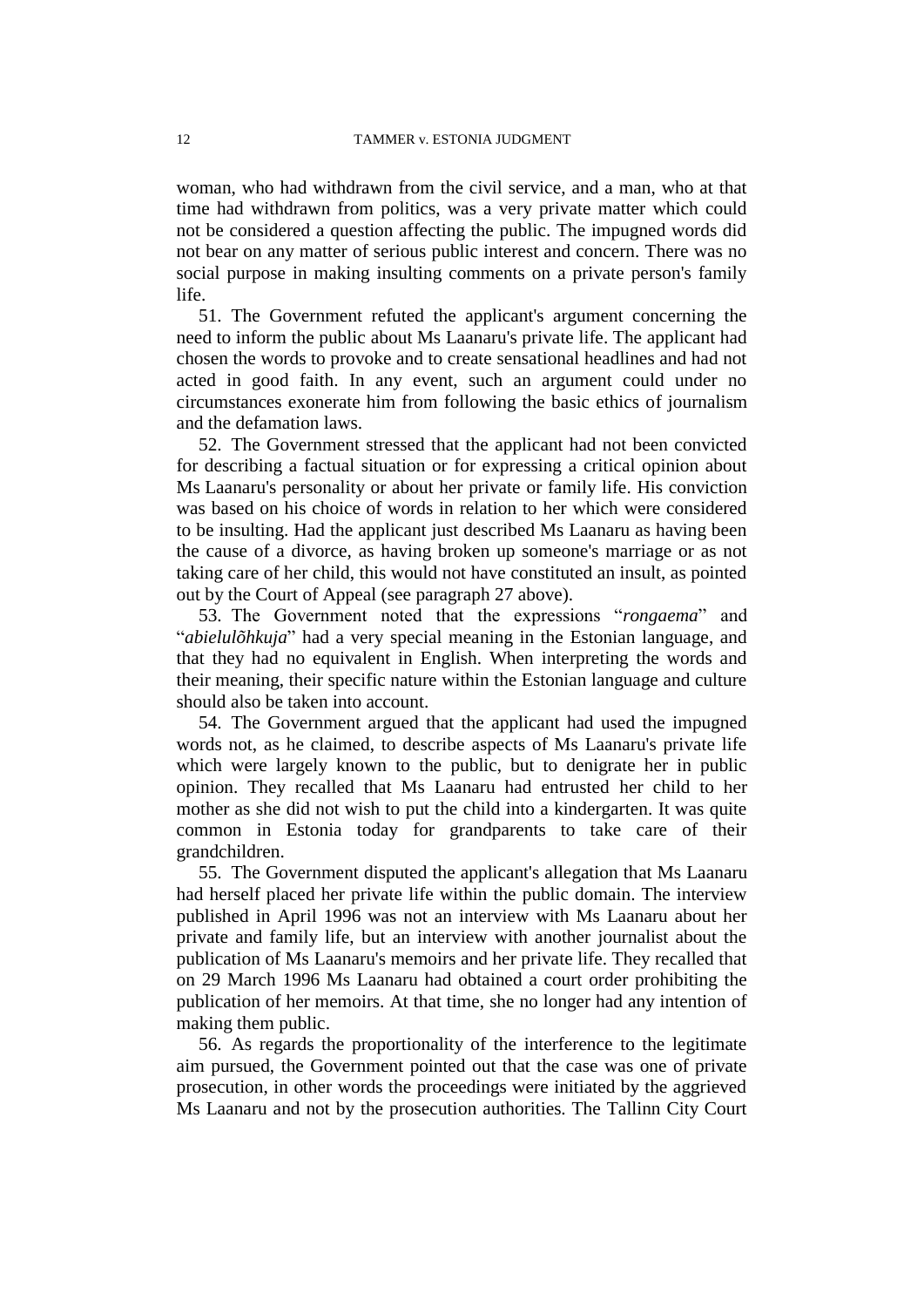woman, who had withdrawn from the civil service, and a man, who at that time had withdrawn from politics, was a very private matter which could not be considered a question affecting the public. The impugned words did not bear on any matter of serious public interest and concern. There was no social purpose in making insulting comments on a private person's family life.

51. The Government refuted the applicant's argument concerning the need to inform the public about Ms Laanaru's private life. The applicant had chosen the words to provoke and to create sensational headlines and had not acted in good faith. In any event, such an argument could under no circumstances exonerate him from following the basic ethics of journalism and the defamation laws.

52. The Government stressed that the applicant had not been convicted for describing a factual situation or for expressing a critical opinion about Ms Laanaru's personality or about her private or family life. His conviction was based on his choice of words in relation to her which were considered to be insulting. Had the applicant just described Ms Laanaru as having been the cause of a divorce, as having broken up someone's marriage or as not taking care of her child, this would not have constituted an insult, as pointed out by the Court of Appeal (see paragraph 27 above).

53. The Government noted that the expressions "*rongaema*" and "*abielulõhkuja*" had a very special meaning in the Estonian language, and that they had no equivalent in English. When interpreting the words and their meaning, their specific nature within the Estonian language and culture should also be taken into account.

54. The Government argued that the applicant had used the impugned words not, as he claimed, to describe aspects of Ms Laanaru's private life which were largely known to the public, but to denigrate her in public opinion. They recalled that Ms Laanaru had entrusted her child to her mother as she did not wish to put the child into a kindergarten. It was quite common in Estonia today for grandparents to take care of their grandchildren.

55. The Government disputed the applicant's allegation that Ms Laanaru had herself placed her private life within the public domain. The interview published in April 1996 was not an interview with Ms Laanaru about her private and family life, but an interview with another journalist about the publication of Ms Laanaru's memoirs and her private life. They recalled that on 29 March 1996 Ms Laanaru had obtained a court order prohibiting the publication of her memoirs. At that time, she no longer had any intention of making them public.

56. As regards the proportionality of the interference to the legitimate aim pursued, the Government pointed out that the case was one of private prosecution, in other words the proceedings were initiated by the aggrieved Ms Laanaru and not by the prosecution authorities. The Tallinn City Court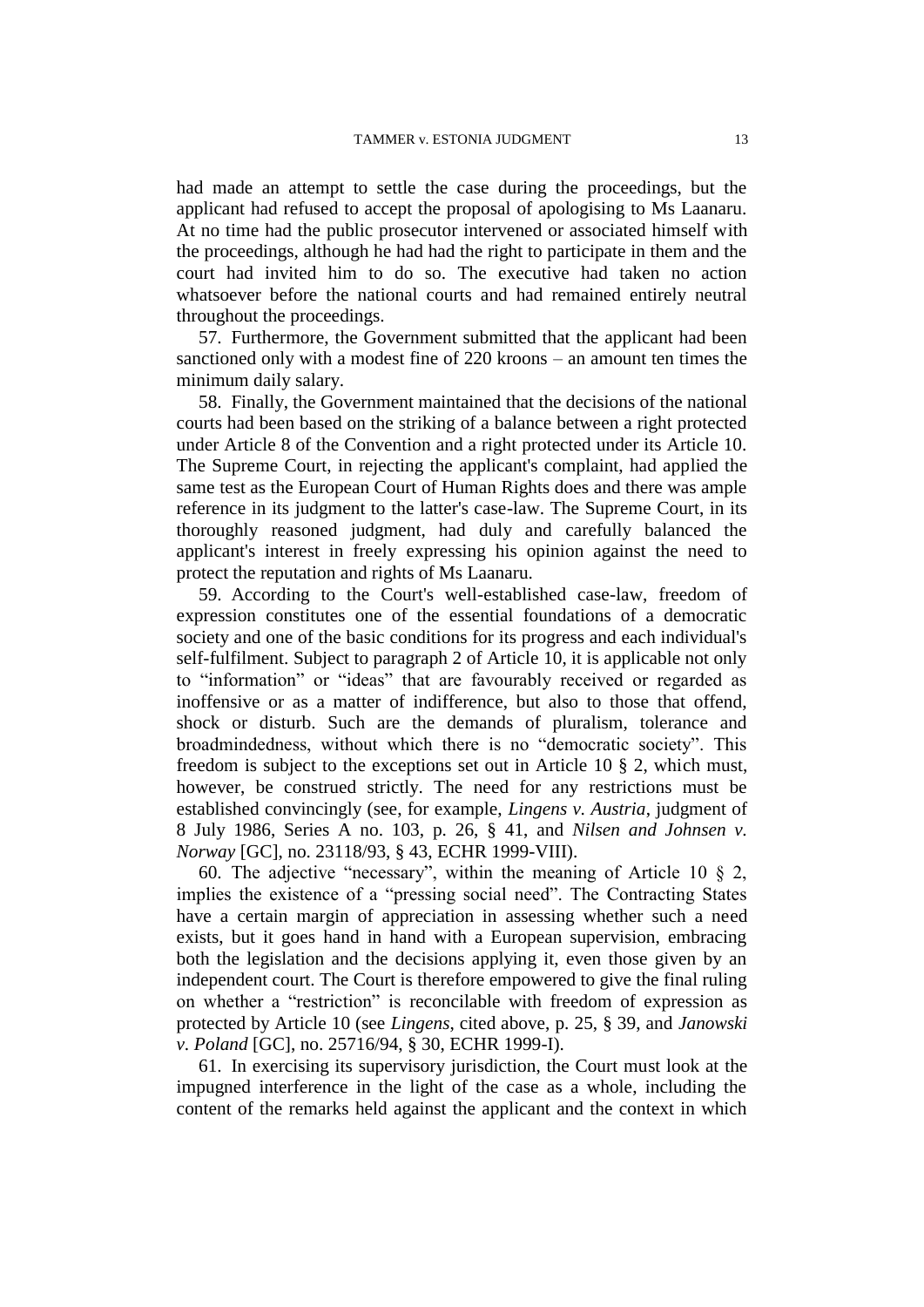had made an attempt to settle the case during the proceedings, but the applicant had refused to accept the proposal of apologising to Ms Laanaru. At no time had the public prosecutor intervened or associated himself with the proceedings, although he had had the right to participate in them and the court had invited him to do so. The executive had taken no action whatsoever before the national courts and had remained entirely neutral throughout the proceedings.

57. Furthermore, the Government submitted that the applicant had been sanctioned only with a modest fine of 220 kroons – an amount ten times the minimum daily salary.

58. Finally, the Government maintained that the decisions of the national courts had been based on the striking of a balance between a right protected under Article 8 of the Convention and a right protected under its Article 10. The Supreme Court, in rejecting the applicant's complaint, had applied the same test as the European Court of Human Rights does and there was ample reference in its judgment to the latter's case-law. The Supreme Court, in its thoroughly reasoned judgment, had duly and carefully balanced the applicant's interest in freely expressing his opinion against the need to protect the reputation and rights of Ms Laanaru.

59. According to the Court's well-established case-law, freedom of expression constitutes one of the essential foundations of a democratic society and one of the basic conditions for its progress and each individual's self-fulfilment. Subject to paragraph 2 of Article 10, it is applicable not only to "information" or "ideas" that are favourably received or regarded as inoffensive or as a matter of indifference, but also to those that offend, shock or disturb. Such are the demands of pluralism, tolerance and broadmindedness, without which there is no "democratic society". This freedom is subject to the exceptions set out in Article 10 § 2, which must, however, be construed strictly. The need for any restrictions must be established convincingly (see, for example, *Lingens v. Austria*, judgment of 8 July 1986, Series A no. 103, p. 26, § 41, and *Nilsen and Johnsen v. Norway* [GC], no. 23118/93, § 43, ECHR 1999-VIII).

60. The adjective "necessary", within the meaning of Article 10 § 2, implies the existence of a "pressing social need". The Contracting States have a certain margin of appreciation in assessing whether such a need exists, but it goes hand in hand with a European supervision, embracing both the legislation and the decisions applying it, even those given by an independent court. The Court is therefore empowered to give the final ruling on whether a "restriction" is reconcilable with freedom of expression as protected by Article 10 (see *Lingens*, cited above, p. 25, § 39, and *Janowski v. Poland* [GC], no. 25716/94, § 30, ECHR 1999-I).

61. In exercising its supervisory jurisdiction, the Court must look at the impugned interference in the light of the case as a whole, including the content of the remarks held against the applicant and the context in which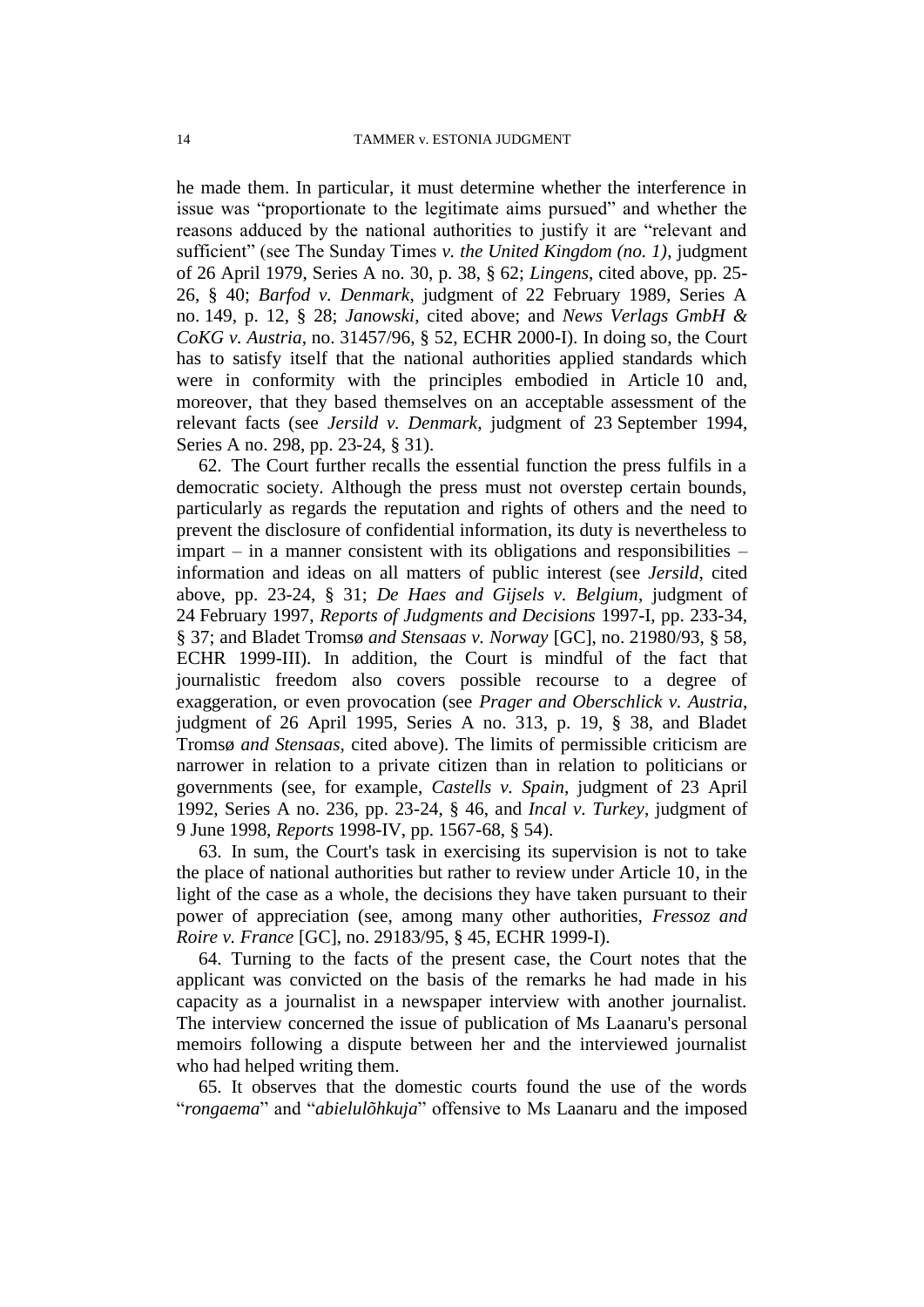he made them. In particular, it must determine whether the interference in issue was "proportionate to the legitimate aims pursued" and whether the reasons adduced by the national authorities to justify it are "relevant and sufficient" (see The Sunday Times *v. the United Kingdom (no. 1)*, judgment of 26 April 1979, Series A no. 30, p. 38, § 62; *Lingens*, cited above, pp. 25- 26, § 40; *Barfod v. Denmark*, judgment of 22 February 1989, Series A no. 149, p. 12, § 28; *Janowski*, cited above; and *News Verlags GmbH & CoKG v. Austria*, no. 31457/96, § 52, ECHR 2000-I). In doing so, the Court has to satisfy itself that the national authorities applied standards which were in conformity with the principles embodied in Article 10 and, moreover, that they based themselves on an acceptable assessment of the relevant facts (see *Jersild v. Denmark*, judgment of 23 September 1994, Series A no. 298, pp. 23-24, § 31).

62. The Court further recalls the essential function the press fulfils in a democratic society. Although the press must not overstep certain bounds, particularly as regards the reputation and rights of others and the need to prevent the disclosure of confidential information, its duty is nevertheless to impart – in a manner consistent with its obligations and responsibilities – information and ideas on all matters of public interest (see *Jersild*, cited above, pp. 23-24, § 31; *De Haes and Gijsels v. Belgium*, judgment of 24 February 1997, *Reports of Judgments and Decisions* 1997-I, pp. 233-34, § 37; and Bladet Tromsø *and Stensaas v. Norway* [GC], no. 21980/93, § 58, ECHR 1999-III). In addition, the Court is mindful of the fact that journalistic freedom also covers possible recourse to a degree of exaggeration, or even provocation (see *Prager and Oberschlick v. Austria*, judgment of 26 April 1995, Series A no. 313, p. 19, § 38, and Bladet Tromsø *and Stensaas*, cited above). The limits of permissible criticism are narrower in relation to a private citizen than in relation to politicians or governments (see, for example, *Castells v. Spain*, judgment of 23 April 1992, Series A no. 236, pp. 23-24, § 46, and *Incal v. Turkey*, judgment of 9 June 1998, *Reports* 1998-IV, pp. 1567-68, § 54).

63. In sum, the Court's task in exercising its supervision is not to take the place of national authorities but rather to review under Article 10, in the light of the case as a whole, the decisions they have taken pursuant to their power of appreciation (see, among many other authorities, *Fressoz and Roire v. France* [GC], no. 29183/95, § 45, ECHR 1999-I).

64. Turning to the facts of the present case, the Court notes that the applicant was convicted on the basis of the remarks he had made in his capacity as a journalist in a newspaper interview with another journalist. The interview concerned the issue of publication of Ms Laanaru's personal memoirs following a dispute between her and the interviewed journalist who had helped writing them.

65. It observes that the domestic courts found the use of the words "*rongaema*" and "*abielulõhkuja*" offensive to Ms Laanaru and the imposed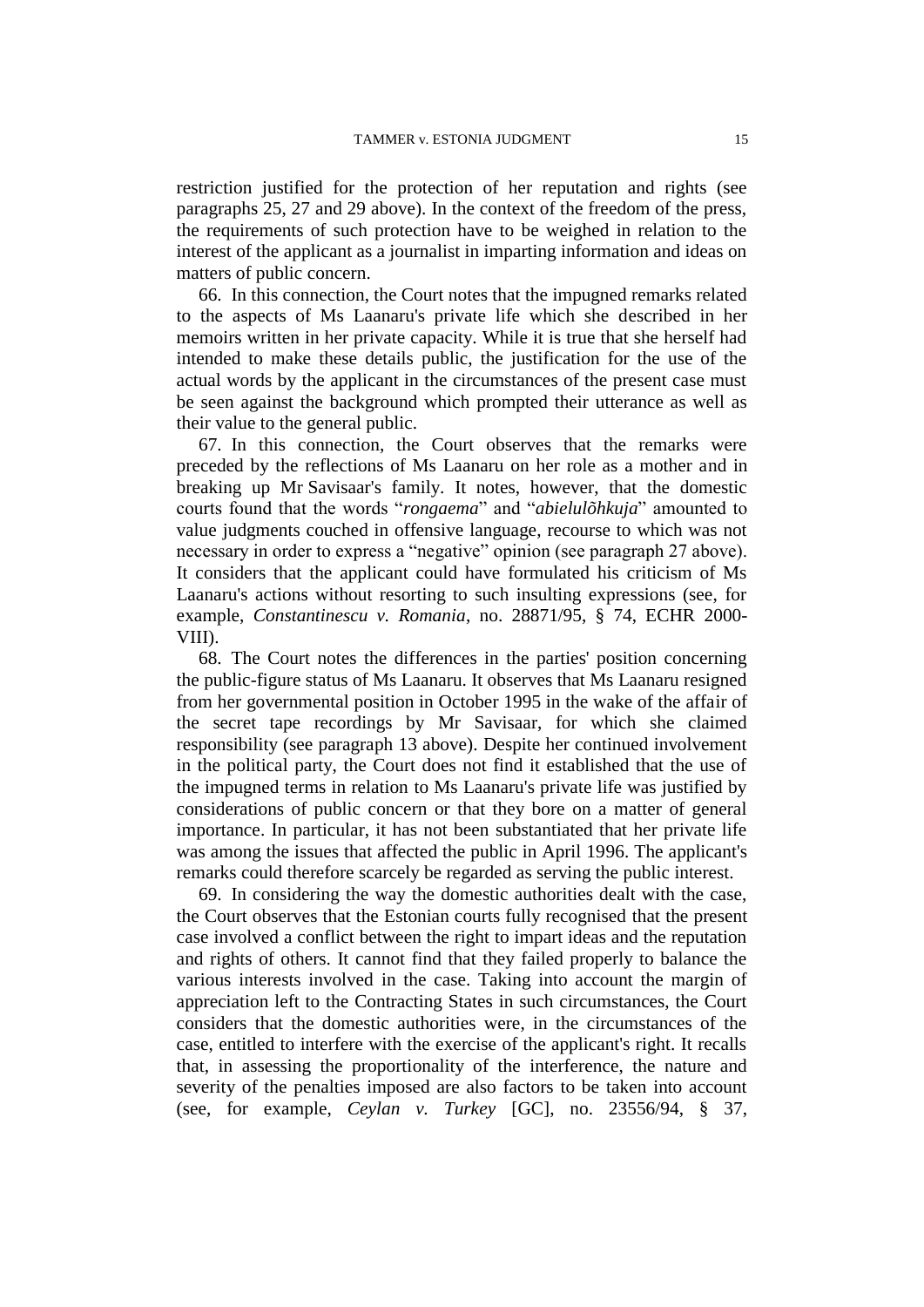restriction justified for the protection of her reputation and rights (see paragraphs 25, 27 and 29 above). In the context of the freedom of the press, the requirements of such protection have to be weighed in relation to the interest of the applicant as a journalist in imparting information and ideas on matters of public concern.

66. In this connection, the Court notes that the impugned remarks related to the aspects of Ms Laanaru's private life which she described in her memoirs written in her private capacity. While it is true that she herself had intended to make these details public, the justification for the use of the actual words by the applicant in the circumstances of the present case must be seen against the background which prompted their utterance as well as their value to the general public.

67. In this connection, the Court observes that the remarks were preceded by the reflections of Ms Laanaru on her role as a mother and in breaking up Mr Savisaar's family. It notes, however, that the domestic courts found that the words "*rongaema*" and "*abielulõhkuja*" amounted to value judgments couched in offensive language, recourse to which was not necessary in order to express a "negative" opinion (see paragraph 27 above). It considers that the applicant could have formulated his criticism of Ms Laanaru's actions without resorting to such insulting expressions (see, for example, *Constantinescu v. Romania*, no. 28871/95, § 74, ECHR 2000- VIII).

68. The Court notes the differences in the parties' position concerning the public-figure status of Ms Laanaru. It observes that Ms Laanaru resigned from her governmental position in October 1995 in the wake of the affair of the secret tape recordings by Mr Savisaar, for which she claimed responsibility (see paragraph 13 above). Despite her continued involvement in the political party, the Court does not find it established that the use of the impugned terms in relation to Ms Laanaru's private life was justified by considerations of public concern or that they bore on a matter of general importance. In particular, it has not been substantiated that her private life was among the issues that affected the public in April 1996. The applicant's remarks could therefore scarcely be regarded as serving the public interest.

69. In considering the way the domestic authorities dealt with the case, the Court observes that the Estonian courts fully recognised that the present case involved a conflict between the right to impart ideas and the reputation and rights of others. It cannot find that they failed properly to balance the various interests involved in the case. Taking into account the margin of appreciation left to the Contracting States in such circumstances, the Court considers that the domestic authorities were, in the circumstances of the case, entitled to interfere with the exercise of the applicant's right. It recalls that, in assessing the proportionality of the interference, the nature and severity of the penalties imposed are also factors to be taken into account (see, for example, *Ceylan v. Turkey* [GC], no. 23556/94, § 37,